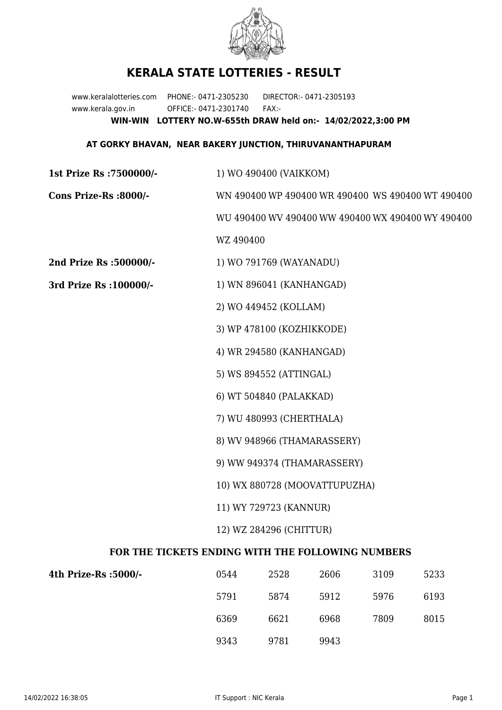

## **KERALA STATE LOTTERIES - RESULT**

www.keralalotteries.com PHONE:- 0471-2305230 DIRECTOR:- 0471-2305193 www.kerala.gov.in OFFICE:- 0471-2301740 FAX:- **WIN-WIN LOTTERY NO.W-655th DRAW held on:- 14/02/2022,3:00 PM**

## **AT GORKY BHAVAN, NEAR BAKERY JUNCTION, THIRUVANANTHAPURAM**

| 1st Prize Rs : 7500000/-                          | 1) WO 490400 (VAIKKOM)                            |                          |      |      |                                                   |  |
|---------------------------------------------------|---------------------------------------------------|--------------------------|------|------|---------------------------------------------------|--|
| Cons Prize-Rs :8000/-                             | WN 490400 WP 490400 WR 490400 WS 490400 WT 490400 |                          |      |      |                                                   |  |
|                                                   |                                                   |                          |      |      | WU 490400 WV 490400 WW 490400 WX 490400 WY 490400 |  |
|                                                   | WZ 490400                                         |                          |      |      |                                                   |  |
| 2nd Prize Rs :500000/-                            |                                                   | 1) WO 791769 (WAYANADU)  |      |      |                                                   |  |
| 3rd Prize Rs : 100000/-                           | 1) WN 896041 (KANHANGAD)                          |                          |      |      |                                                   |  |
|                                                   |                                                   | 2) WO 449452 (KOLLAM)    |      |      |                                                   |  |
|                                                   | 3) WP 478100 (KOZHIKKODE)                         |                          |      |      |                                                   |  |
|                                                   | 4) WR 294580 (KANHANGAD)                          |                          |      |      |                                                   |  |
|                                                   |                                                   | 5) WS 894552 (ATTINGAL)  |      |      |                                                   |  |
|                                                   |                                                   | 6) WT 504840 (PALAKKAD)  |      |      |                                                   |  |
|                                                   |                                                   | 7) WU 480993 (CHERTHALA) |      |      |                                                   |  |
|                                                   | 8) WV 948966 (THAMARASSERY)                       |                          |      |      |                                                   |  |
|                                                   | 9) WW 949374 (THAMARASSERY)                       |                          |      |      |                                                   |  |
|                                                   | 10) WX 880728 (MOOVATTUPUZHA)                     |                          |      |      |                                                   |  |
|                                                   | 11) WY 729723 (KANNUR)                            |                          |      |      |                                                   |  |
|                                                   | 12) WZ 284296 (CHITTUR)                           |                          |      |      |                                                   |  |
| FOR THE TICKETS ENDING WITH THE FOLLOWING NUMBERS |                                                   |                          |      |      |                                                   |  |
| 4th Prize-Rs :5000/-                              | 0544                                              | 2528                     | 2606 | 3109 | 5233                                              |  |

| 4th Prize-Rs :5000/- | 0544 | 2528 | 2606 | 3109 | 5233 |
|----------------------|------|------|------|------|------|
|                      | 5791 | 5874 | 5912 | 5976 | 6193 |
|                      | 6369 | 6621 | 6968 | 7809 | 8015 |
|                      | 9343 | 9781 | 9943 |      |      |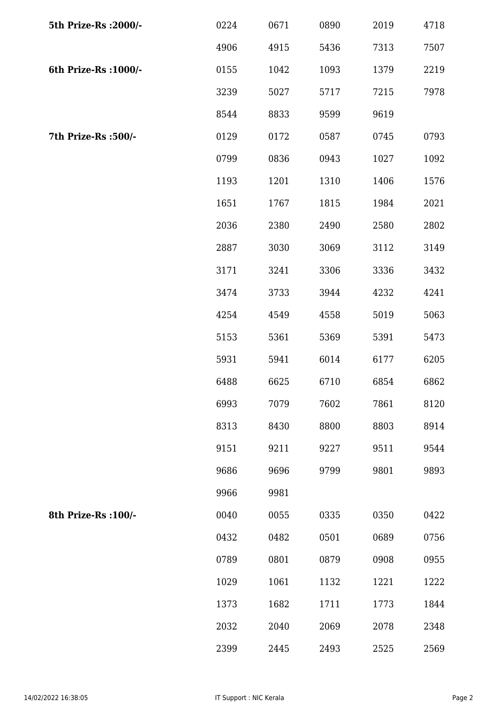| 5th Prize-Rs : 2000/- | 0224 | 0671 | 0890 | 2019 | 4718 |
|-----------------------|------|------|------|------|------|
|                       | 4906 | 4915 | 5436 | 7313 | 7507 |
| 6th Prize-Rs : 1000/- | 0155 | 1042 | 1093 | 1379 | 2219 |
|                       | 3239 | 5027 | 5717 | 7215 | 7978 |
|                       | 8544 | 8833 | 9599 | 9619 |      |
| 7th Prize-Rs :500/-   | 0129 | 0172 | 0587 | 0745 | 0793 |
|                       | 0799 | 0836 | 0943 | 1027 | 1092 |
|                       | 1193 | 1201 | 1310 | 1406 | 1576 |
|                       | 1651 | 1767 | 1815 | 1984 | 2021 |
|                       | 2036 | 2380 | 2490 | 2580 | 2802 |
|                       | 2887 | 3030 | 3069 | 3112 | 3149 |
|                       | 3171 | 3241 | 3306 | 3336 | 3432 |
|                       | 3474 | 3733 | 3944 | 4232 | 4241 |
|                       | 4254 | 4549 | 4558 | 5019 | 5063 |
|                       | 5153 | 5361 | 5369 | 5391 | 5473 |
|                       | 5931 | 5941 | 6014 | 6177 | 6205 |
|                       | 6488 | 6625 | 6710 | 6854 | 6862 |
|                       | 6993 | 7079 | 7602 | 7861 | 8120 |
|                       | 8313 | 8430 | 8800 | 8803 | 8914 |
|                       | 9151 | 9211 | 9227 | 9511 | 9544 |
|                       | 9686 | 9696 | 9799 | 9801 | 9893 |
|                       | 9966 | 9981 |      |      |      |
| 8th Prize-Rs : 100/-  | 0040 | 0055 | 0335 | 0350 | 0422 |
|                       | 0432 | 0482 | 0501 | 0689 | 0756 |
|                       | 0789 | 0801 | 0879 | 0908 | 0955 |
|                       | 1029 | 1061 | 1132 | 1221 | 1222 |
|                       | 1373 | 1682 | 1711 | 1773 | 1844 |
|                       | 2032 | 2040 | 2069 | 2078 | 2348 |
|                       | 2399 | 2445 | 2493 | 2525 | 2569 |